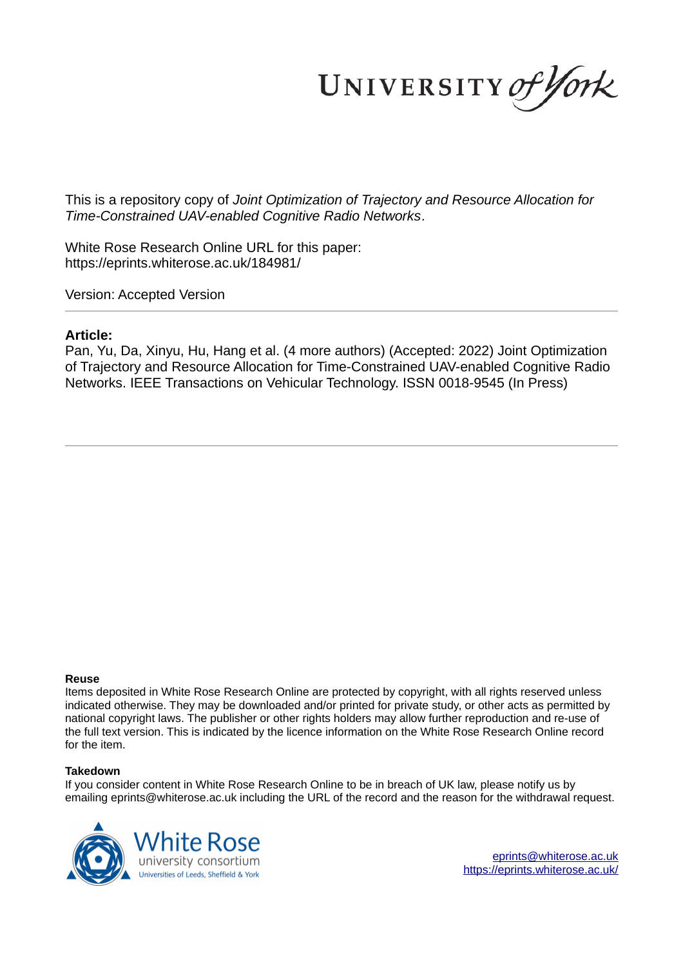UNIVERSITY of York

This is a repository copy of *Joint Optimization of Trajectory and Resource Allocation for Time-Constrained UAV-enabled Cognitive Radio Networks*.

White Rose Research Online URL for this paper: https://eprints.whiterose.ac.uk/184981/

Version: Accepted Version

# **Article:**

Pan, Yu, Da, Xinyu, Hu, Hang et al. (4 more authors) (Accepted: 2022) Joint Optimization of Trajectory and Resource Allocation for Time-Constrained UAV-enabled Cognitive Radio Networks. IEEE Transactions on Vehicular Technology. ISSN 0018-9545 (In Press)

## **Reuse**

Items deposited in White Rose Research Online are protected by copyright, with all rights reserved unless indicated otherwise. They may be downloaded and/or printed for private study, or other acts as permitted by national copyright laws. The publisher or other rights holders may allow further reproduction and re-use of the full text version. This is indicated by the licence information on the White Rose Research Online record for the item.

## **Takedown**

If you consider content in White Rose Research Online to be in breach of UK law, please notify us by emailing eprints@whiterose.ac.uk including the URL of the record and the reason for the withdrawal request.



eprints@whiterose.ac.uk https://eprints.whiterose.ac.uk/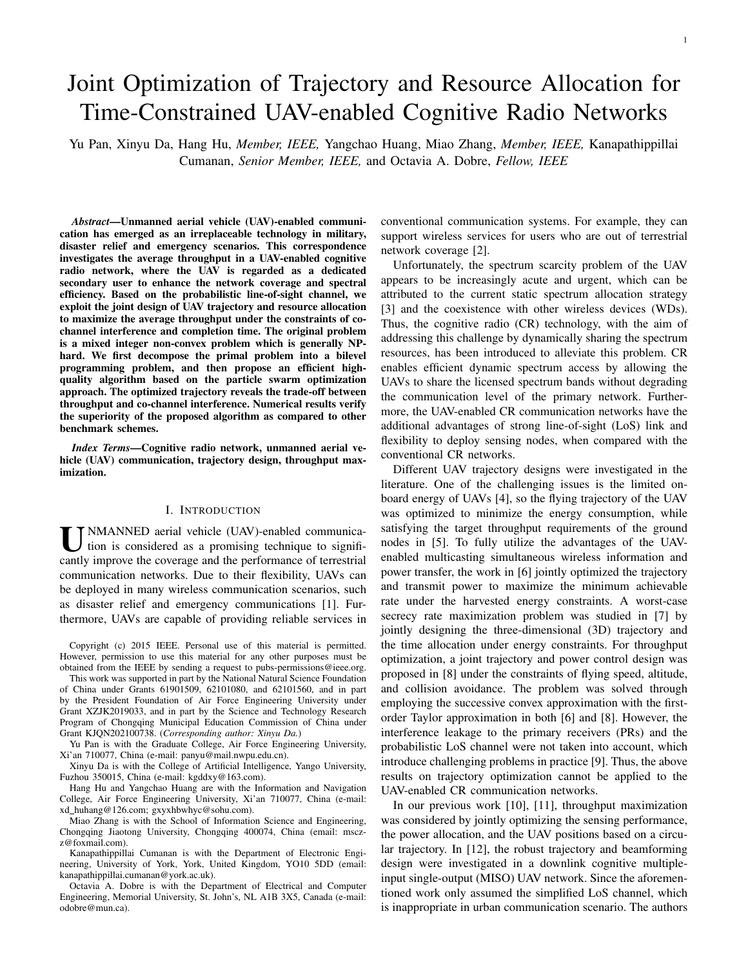1

# Joint Optimization of Trajectory and Resource Allocation for Time-Constrained UAV-enabled Cognitive Radio Networks

Yu Pan, Xinyu Da, Hang Hu, *Member, IEEE,* Yangchao Huang, Miao Zhang, *Member, IEEE,* Kanapathippillai Cumanan, *Senior Member, IEEE,* and Octavia A. Dobre, *Fellow, IEEE*

*Abstract*—Unmanned aerial vehicle (UAV)-enabled communication has emerged as an irreplaceable technology in military, disaster relief and emergency scenarios. This correspondence investigates the average throughput in a UAV-enabled cognitive radio network, where the UAV is regarded as a dedicated secondary user to enhance the network coverage and spectral efficiency. Based on the probabilistic line-of-sight channel, we exploit the joint design of UAV trajectory and resource allocation to maximize the average throughput under the constraints of cochannel interference and completion time. The original problem is a mixed integer non-convex problem which is generally NPhard. We first decompose the primal problem into a bilevel programming problem, and then propose an efficient highquality algorithm based on the particle swarm optimization approach. The optimized trajectory reveals the trade-off between throughput and co-channel interference. Numerical results verify the superiority of the proposed algorithm as compared to other benchmark schemes.

*Index Terms*—Cognitive radio network, unmanned aerial vehicle (UAV) communication, trajectory design, throughput maximization.

## I. INTRODUCTION

U NMANNED aerial vehicle (UAV)-enabled communica-<br>tion is considered as a promising technique to signifi-<br>example immense the example and the performance of terrestic tion is considered as a promising technique to significantly improve the coverage and the performance of terrestrial communication networks. Due to their flexibility, UAVs can be deployed in many wireless communication scenarios, such as disaster relief and emergency communications [1]. Furthermore, UAVs are capable of providing reliable services in

Copyright (c) 2015 IEEE. Personal use of this material is permitted. However, permission to use this material for any other purposes must be obtained from the IEEE by sending a request to pubs-permissions@ieee.org.

This work was supported in part by the National Natural Science Foundation of China under Grants 61901509, 62101080, and 62101560, and in part by the President Foundation of Air Force Engineering University under Grant XZJK2019033, and in part by the Science and Technology Research Program of Chongqing Municipal Education Commission of China under Grant KJQN202100738. (*Corresponding author: Xinyu Da.*)

Yu Pan is with the Graduate College, Air Force Engineering University, Xi'an 710077, China (e-mail: panyu@mail.nwpu.edu.cn).

Xinyu Da is with the College of Artificial Intelligence, Yango University, Fuzhou 350015, China (e-mail: kgddxy@163.com).

Hang Hu and Yangchao Huang are with the Information and Navigation College, Air Force Engineering University, Xi'an 710077, China (e-mail: xd huhang@126.com; gxyxhbwhyc@sohu.com).

Miao Zhang is with the School of Information Science and Engineering, Chongqing Jiaotong University, Chongqing 400074, China (email: msczz@foxmail.com).

Kanapathippillai Cumanan is with the Department of Electronic Engineering, University of York, York, United Kingdom, YO10 5DD (email: kanapathippillai.cumanan@york.ac.uk).

Octavia A. Dobre is with the Department of Electrical and Computer Engineering, Memorial University, St. John's, NL A1B 3X5, Canada (e-mail: odobre@mun.ca).

conventional communication systems. For example, they can support wireless services for users who are out of terrestrial network coverage [2].

Unfortunately, the spectrum scarcity problem of the UAV appears to be increasingly acute and urgent, which can be attributed to the current static spectrum allocation strategy [3] and the coexistence with other wireless devices (WDs). Thus, the cognitive radio (CR) technology, with the aim of addressing this challenge by dynamically sharing the spectrum resources, has been introduced to alleviate this problem. CR enables efficient dynamic spectrum access by allowing the UAVs to share the licensed spectrum bands without degrading the communication level of the primary network. Furthermore, the UAV-enabled CR communication networks have the additional advantages of strong line-of-sight (LoS) link and flexibility to deploy sensing nodes, when compared with the conventional CR networks.

Different UAV trajectory designs were investigated in the literature. One of the challenging issues is the limited onboard energy of UAVs [4], so the flying trajectory of the UAV was optimized to minimize the energy consumption, while satisfying the target throughput requirements of the ground nodes in [5]. To fully utilize the advantages of the UAVenabled multicasting simultaneous wireless information and power transfer, the work in [6] jointly optimized the trajectory and transmit power to maximize the minimum achievable rate under the harvested energy constraints. A worst-case secrecy rate maximization problem was studied in [7] by jointly designing the three-dimensional (3D) trajectory and the time allocation under energy constraints. For throughput optimization, a joint trajectory and power control design was proposed in [8] under the constraints of flying speed, altitude, and collision avoidance. The problem was solved through employing the successive convex approximation with the firstorder Taylor approximation in both [6] and [8]. However, the interference leakage to the primary receivers (PRs) and the probabilistic LoS channel were not taken into account, which introduce challenging problems in practice [9]. Thus, the above results on trajectory optimization cannot be applied to the UAV-enabled CR communication networks.

In our previous work [10], [11], throughput maximization was considered by jointly optimizing the sensing performance, the power allocation, and the UAV positions based on a circular trajectory. In [12], the robust trajectory and beamforming design were investigated in a downlink cognitive multipleinput single-output (MISO) UAV network. Since the aforementioned work only assumed the simplified LoS channel, which is inappropriate in urban communication scenario. The authors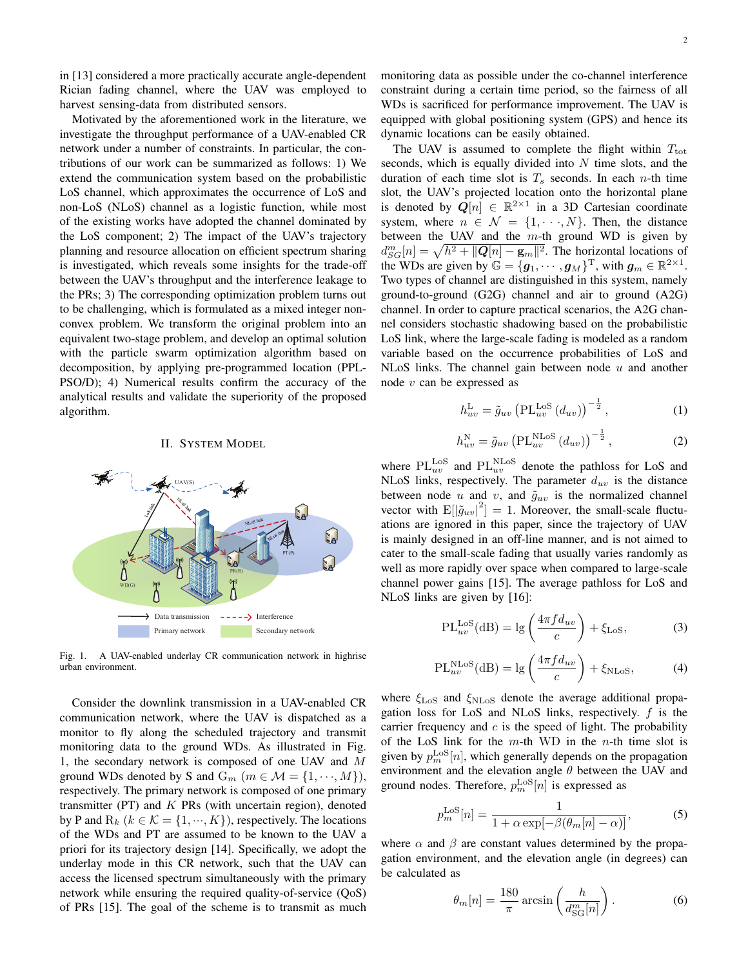in [13] considered a more practically accurate angle-dependent Rician fading channel, where the UAV was employed to harvest sensing-data from distributed sensors.

Motivated by the aforementioned work in the literature, we investigate the throughput performance of a UAV-enabled CR network under a number of constraints. In particular, the contributions of our work can be summarized as follows: 1) We extend the communication system based on the probabilistic LoS channel, which approximates the occurrence of LoS and non-LoS (NLoS) channel as a logistic function, while most of the existing works have adopted the channel dominated by the LoS component; 2) The impact of the UAV's trajectory planning and resource allocation on efficient spectrum sharing is investigated, which reveals some insights for the trade-off between the UAV's throughput and the interference leakage to the PRs; 3) The corresponding optimization problem turns out to be challenging, which is formulated as a mixed integer nonconvex problem. We transform the original problem into an equivalent two-stage problem, and develop an optimal solution with the particle swarm optimization algorithm based on decomposition, by applying pre-programmed location (PPL-PSO/D); 4) Numerical results confirm the accuracy of the analytical results and validate the superiority of the proposed algorithm.

## II. SYSTEM MODEL



Fig. 1. A UAV-enabled underlay CR communication network in highrise urban environment.

Consider the downlink transmission in a UAV-enabled CR communication network, where the UAV is dispatched as a monitor to fly along the scheduled trajectory and transmit monitoring data to the ground WDs. As illustrated in Fig. 1, the secondary network is composed of one UAV and M ground WDs denoted by S and  $G_m$   $(m \in \mathcal{M} = \{1, \dots, M\})$ , respectively. The primary network is composed of one primary transmitter (PT) and  $K$  PRs (with uncertain region), denoted by P and  $R_k$  ( $k \in \mathcal{K} = \{1, \dots, K\}$ ), respectively. The locations of the WDs and PT are assumed to be known to the UAV a priori for its trajectory design [14]. Specifically, we adopt the underlay mode in this CR network, such that the UAV can access the licensed spectrum simultaneously with the primary network while ensuring the required quality-of-service (QoS) of PRs [15]. The goal of the scheme is to transmit as much monitoring data as possible under the co-channel interference constraint during a certain time period, so the fairness of all WDs is sacrificed for performance improvement. The UAV is equipped with global positioning system (GPS) and hence its dynamic locations can be easily obtained.

The UAV is assumed to complete the flight within  $T_{\text{tot}}$ seconds, which is equally divided into  $N$  time slots, and the duration of each time slot is  $T_s$  seconds. In each *n*-th time slot, the UAV's projected location onto the horizontal plane is denoted by  $\mathbf{Q}[n] \in \mathbb{R}^{2 \times 1}$  in a 3D Cartesian coordinate system, where  $n \in \mathcal{N} = \{1, \dots, N\}$ . Then, the distance between the UAV and the  $m$ -th ground WD is given by  $d_{SG}^{m}[n] = \sqrt{h^2 + ||Q[n] - \mathbf{g}_m||^2}$ . The horizontal locations of the WDs are given by  $\mathbb{G} = \{g_1, \dots, g_M\}^T$ , with  $g_m \in \mathbb{R}^{2 \times 1}$ . Two types of channel are distinguished in this system, namely ground-to-ground (G2G) channel and air to ground (A2G) channel. In order to capture practical scenarios, the A2G channel considers stochastic shadowing based on the probabilistic LoS link, where the large-scale fading is modeled as a random variable based on the occurrence probabilities of LoS and NLoS links. The channel gain between node  $u$  and another node  $v$  can be expressed as

$$
h_{uv}^{\mathcal{L}} = \tilde{g}_{uv} \left( \text{PL}_{uv}^{\text{LoS}} \left( d_{uv} \right) \right)^{-\frac{1}{2}}, \tag{1}
$$

$$
h_{uv}^{\rm N} = \tilde{g}_{uv} \left( \text{PL}_{uv}^{\rm NLoS} \left( d_{uv} \right) \right)^{-\frac{1}{2}}, \tag{2}
$$

where  $\text{PL}_{uv}^{\text{LoS}}$  and  $\text{PL}_{uv}^{\text{NLoS}}$  denote the pathloss for LoS and NLoS links, respectively. The parameter  $d_{uv}$  is the distance between node u and v, and  $\tilde{g}_{uv}$  is the normalized channel vector with  $E[|\tilde{g}_{uv}|^2] = 1$ . Moreover, the small-scale fluctuations are ignored in this paper, since the trajectory of UAV is mainly designed in an off-line manner, and is not aimed to cater to the small-scale fading that usually varies randomly as well as more rapidly over space when compared to large-scale channel power gains [15]. The average pathloss for LoS and NLoS links are given by [16]:

$$
PL_{uv}^{\text{LoS}}(dB) = lg\left(\frac{4\pi f d_{uv}}{c}\right) + \xi_{\text{LoS}},\tag{3}
$$

$$
PL_{uv}^{NLoS}(dB) = lg\left(\frac{4\pi f d_{uv}}{c}\right) + \xi_{NLoS},
$$
 (4)

where  $\xi_{\text{LoS}}$  and  $\xi_{\text{NLoS}}$  denote the average additional propagation loss for LoS and NLoS links, respectively.  $f$  is the carrier frequency and  $c$  is the speed of light. The probability of the LoS link for the  $m$ -th WD in the  $n$ -th time slot is given by  $p_m^{\text{LoS}}[n]$ , which generally depends on the propagation environment and the elevation angle  $\theta$  between the UAV and ground nodes. Therefore,  $p_m^{\text{LoS}}[n]$  is expressed as

$$
p_m^{\text{LoS}}[n] = \frac{1}{1 + \alpha \exp[-\beta(\theta_m[n] - \alpha)]},\tag{5}
$$

where  $\alpha$  and  $\beta$  are constant values determined by the propagation environment, and the elevation angle (in degrees) can be calculated as

$$
\theta_m[n] = \frac{180}{\pi} \arcsin\left(\frac{h}{d_{\rm SG}^m[n]}\right). \tag{6}
$$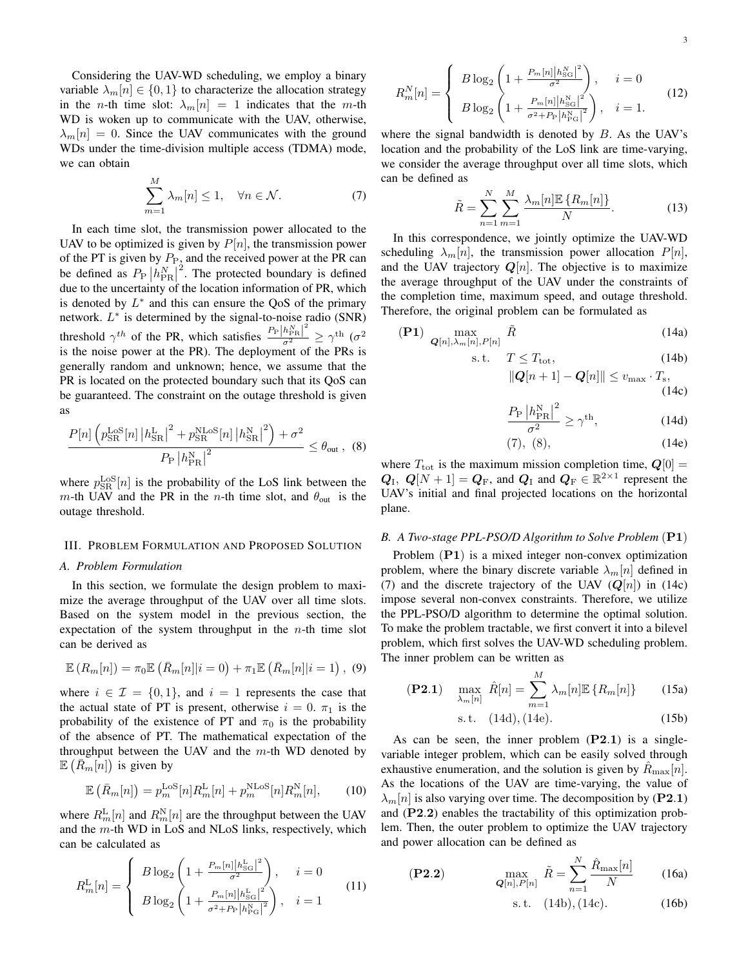Considering the UAV-WD scheduling, we employ a binary variable  $\lambda_m[n] \in \{0,1\}$  to characterize the allocation strategy in the *n*-th time slot:  $\lambda_m[n] = 1$  indicates that the *m*-th WD is woken up to communicate with the UAV, otherwise,  $\lambda_m[n] = 0$ . Since the UAV communicates with the ground WDs under the time-division multiple access (TDMA) mode, we can obtain

$$
\sum_{m=1}^{M} \lambda_m[n] \le 1, \quad \forall n \in \mathcal{N}.
$$
 (7)

In each time slot, the transmission power allocated to the UAV to be optimized is given by  $P[n]$ , the transmission power of the PT is given by  $P_{P_2}$  and the received power at the PR can be defined as  $P_P|h_{\text{PR}}^N|$  $2^2$ . The protected boundary is defined due to the uncertainty of the location information of PR, which is denoted by  $L^*$  and this can ensure the QoS of the primary network.  $L^*$  is determined by the signal-to-noise radio (SNR) threshold  $\gamma^{th}$  of the PR, which satisfies  $\frac{P_P|h_{\text{PR}}^N|^2}{\sigma^2} \ge \gamma^{th}$  ( $\sigma^2$ ) is the noise power at the PR). The deployment of the PRs is generally random and unknown; hence, we assume that the PR is located on the protected boundary such that its QoS can be guaranteed. The constraint on the outage threshold is given as

$$
\frac{P[n] \left( p_{\rm SR}^{\rm LoS}[n] \left| h_{\rm SR}^{\rm L} \right|^2 + p_{\rm SR}^{\rm NLoS}[n] \left| h_{\rm SR}^{\rm N} \right|^2 \right) + \sigma^2}{P_{\rm P} \left| h_{\rm PR}^{\rm N} \right|^2} \le \theta_{\rm out} \,, \tag{8}
$$

where  $p_{SR}^{\text{LoS}}[n]$  is the probability of the LoS link between the m-th UAV and the PR in the n-th time slot, and  $\theta_{\text{out}}$  is the outage threshold.

## III. PROBLEM FORMULATION AND PROPOSED SOLUTION

## *A. Problem Formulation*

In this section, we formulate the design problem to maximize the average throughput of the UAV over all time slots. Based on the system model in the previous section, the expectation of the system throughput in the  $n$ -th time slot can be derived as

$$
\mathbb{E}\left(R_m[n]\right) = \pi_0 \mathbb{E}\left(\bar{R}_m[n]|i=0\right) + \pi_1 \mathbb{E}\left(\bar{R}_m[n]|i=1\right),\tag{9}
$$

where  $i \in \mathcal{I} = \{0, 1\}$ , and  $i = 1$  represents the case that the actual state of PT is present, otherwise  $i = 0$ .  $\pi_1$  is the probability of the existence of PT and  $\pi_0$  is the probability of the absence of PT. The mathematical expectation of the throughput between the UAV and the  $m$ -th WD denoted by  $\mathbb{E}\left(\overline{R}_m[n]\right)$  is given by

$$
\mathbb{E}\left(\bar{R}_m[n]\right) = p_m^{\text{LoS}}[n]R_m^{\text{L}}[n] + p_m^{\text{NLoS}}[n]R_m^{\text{N}}[n],\tag{10}
$$

where  $R_m^{\text{L}}[n]$  and  $R_m^{\text{N}}[n]$  are the throughput between the UAV and the m-th WD in LoS and NLoS links, respectively, which can be calculated as

$$
R_m^{\text{L}}[n] = \begin{cases} B \log_2 \left( 1 + \frac{P_m[n] |h_{\text{SG}}^{\text{L}}|^2}{\sigma^2} \right), & i = 0\\ B \log_2 \left( 1 + \frac{P_m[n] |h_{\text{SG}}^{\text{L}}|^2}{\sigma^2 + P_{\text{P}} |h_{\text{PG}}^{\text{R}}|^2} \right), & i = 1 \end{cases}
$$
(11)

$$
R_m^N[n] = \begin{cases} B \log_2 \left( 1 + \frac{P_m[n] |h_{\text{SG}}^N|^2}{\sigma^2} \right), & i = 0\\ B \log_2 \left( 1 + \frac{P_m[n] |h_{\text{SG}}^N|^2}{\sigma^2 + P_P |h_{\text{PG}}^N|^2} \right), & i = 1. \end{cases}
$$
(12)

where the signal bandwidth is denoted by  $B$ . As the UAV's location and the probability of the LoS link are time-varying, we consider the average throughput over all time slots, which can be defined as

$$
\tilde{R} = \sum_{n=1}^{N} \sum_{m=1}^{M} \frac{\lambda_m[n] \mathbb{E} \{R_m[n]\}}{N}.
$$
 (13)

In this correspondence, we jointly optimize the UAV-WD scheduling  $\lambda_m[n]$ , the transmission power allocation  $P[n]$ , and the UAV trajectory  $Q[n]$ . The objective is to maximize the average throughput of the UAV under the constraints of the completion time, maximum speed, and outage threshold. Therefore, the original problem can be formulated as

$$
\textbf{(P1)}\ \max_{\mathbf{Q}[n],\lambda_m[n],P[n]} \tilde{R} \tag{14a}
$$

$$
s.t. \tT \le T_{\text{tot}}, \t(14b)
$$

$$
\|Q[n+1] - Q[n]\| \le v_{\text{max}} \cdot T_{\text{s}},
$$
\n(14c)

$$
\frac{P_{\rm P} \left| h_{\rm PR}^{\rm N} \right|^2}{\sigma^2} \ge \gamma^{\rm th},\tag{14d}
$$

$$
(7), (8), \t(14e)
$$

where  $T_{\text{tot}}$  is the maximum mission completion time,  $\mathbf{Q}[0] =$  $Q_I$ ,  $Q[N+1] = Q_F$ , and  $Q_I$  and  $Q_F \in \mathbb{R}^{2 \times 1}$  represent the UAV's initial and final projected locations on the horizontal plane.

## *B. A Two-stage PPL-PSO/D Algorithm to Solve Problem* (P1)

Problem (P1) is a mixed integer non-convex optimization problem, where the binary discrete variable  $\lambda_m[n]$  defined in (7) and the discrete trajectory of the UAV  $(Q[n])$  in (14c) impose several non-convex constraints. Therefore, we utilize the PPL-PSO/D algorithm to determine the optimal solution. To make the problem tractable, we first convert it into a bilevel problem, which first solves the UAV-WD scheduling problem. The inner problem can be written as

$$
\textbf{(P2.1)} \quad \max_{\lambda_m[n]} \ \hat{R}[n] = \sum_{m=1}^M \lambda_m[n] \mathbb{E} \left\{ R_m[n] \right\} \tag{15a}
$$

s.t. 
$$
(14d), (14e)
$$
. (15b)

As can be seen, the inner problem  $(P2.1)$  is a singlevariable integer problem, which can be easily solved through exhaustive enumeration, and the solution is given by  $R_{\text{max}}[n]$ . As the locations of the UAV are time-varying, the value of  $\lambda_m[n]$  is also varying over time. The decomposition by (P2.1) and (P2.2) enables the tractability of this optimization problem. Then, the outer problem to optimize the UAV trajectory and power allocation can be defined as

$$
(P2.2) \qquad \max_{\mathbf{Q}[n], P[n]} \tilde{R} = \sum_{n=1}^{N} \frac{\hat{R}_{\text{max}}[n]}{N} \qquad (16a)
$$

s. t. 
$$
(14b), (14c).
$$
 (16b)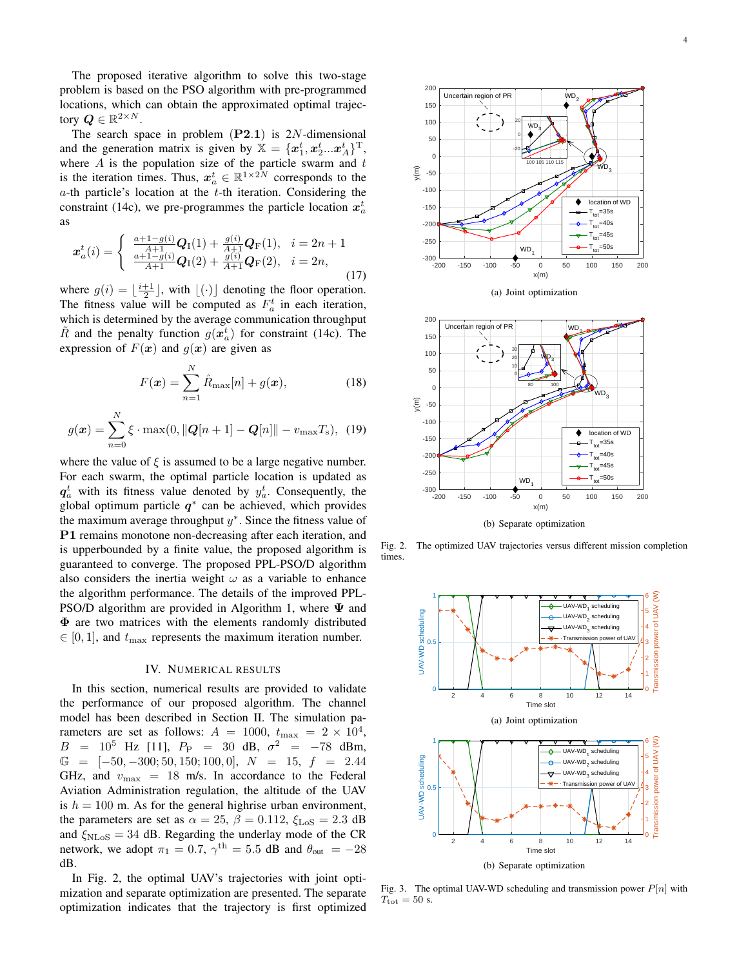The proposed iterative algorithm to solve this two-stage problem is based on the PSO algorithm with pre-programmed locations, which can obtain the approximated optimal trajectory  $\boldsymbol{Q} \in \mathbb{R}^{2 \times N}$ .

The search space in problem  $(P2.1)$  is 2N-dimensional and the generation matrix is given by  $\mathbb{X} = \{x_1^t, x_2^t...x_A^t\}^T$ , where  $A$  is the population size of the particle swarm and  $t$ is the iteration times. Thus,  $x_a^t \in \mathbb{R}^{1 \times 2N}$  corresponds to the  $a$ -th particle's location at the  $t$ -th iteration. Considering the constraint (14c), we pre-programmes the particle location  $x_a^t$ as

$$
\boldsymbol{x}_{a}^{t}(i) = \begin{cases} \frac{a+1-g(i)}{A+1} \boldsymbol{Q}_{\mathrm{I}}(1) + \frac{g(i)}{A+1} \boldsymbol{Q}_{\mathrm{F}}(1), & i = 2n+1\\ \frac{a+1-g(i)}{A+1} \boldsymbol{Q}_{\mathrm{I}}(2) + \frac{g(i)}{A+1} \boldsymbol{Q}_{\mathrm{F}}(2), & i = 2n, \end{cases}
$$
(17)

where  $g(i) = \lfloor \frac{i+1}{2} \rfloor$ , with  $\lfloor (\cdot) \rfloor$  denoting the floor operation. The fitness value will be computed as  $F_a^t$  in each iteration, which is determined by the average communication throughput  $\tilde{R}$  and the penalty function  $g(\boldsymbol{x}_{a}^{t})$  for constraint (14c). The expression of  $F(x)$  and  $g(x)$  are given as

$$
F(\mathbf{x}) = \sum_{n=1}^{N} \hat{R}_{\text{max}}[n] + g(\mathbf{x}),
$$
 (18)

$$
g(\boldsymbol{x}) = \sum_{n=0}^{N} \xi \cdot \max(0, ||\boldsymbol{Q}[n+1] - \boldsymbol{Q}[n]|| - v_{\max}T_{s}), \tag{19}
$$

where the value of  $\xi$  is assumed to be a large negative number. For each swarm, the optimal particle location is updated as  $q_a^t$  with its fitness value denoted by  $y_a^t$ . Consequently, the global optimum particle  $q^*$  can be achieved, which provides the maximum average throughput  $y^*$ . Since the fitness value of P1 remains monotone non-decreasing after each iteration, and is upperbounded by a finite value, the proposed algorithm is guaranteed to converge. The proposed PPL-PSO/D algorithm also considers the inertia weight  $\omega$  as a variable to enhance the algorithm performance. The details of the improved PPL-PSO/D algorithm are provided in Algorithm 1, where  $\Psi$  and Φ are two matrices with the elements randomly distributed  $\in [0, 1]$ , and  $t_{\text{max}}$  represents the maximum iteration number.

#### IV. NUMERICAL RESULTS

In this section, numerical results are provided to validate the performance of our proposed algorithm. The channel model has been described in Section II. The simulation parameters are set as follows:  $A = 1000$ ,  $t_{\text{max}} = 2 \times 10^4$ ,  $B = 10^5$  Hz [11],  $P_P = 30$  dB,  $\sigma^2 = -78$  dBm,  $G = [-50, -300; 50, 150; 100, 0], N = 15, f = 2.44$ GHz, and  $v_{\text{max}} = 18$  m/s. In accordance to the Federal Aviation Administration regulation, the altitude of the UAV is  $h = 100$  m. As for the general highrise urban environment, the parameters are set as  $\alpha = 25$ ,  $\beta = 0.112$ ,  $\xi_{\text{LoS}} = 2.3$  dB and  $\xi_{\text{NLoS}} = 34$  dB. Regarding the underlay mode of the CR network, we adopt  $\pi_1 = 0.7$ ,  $\gamma^{\text{th}} = 5.5$  dB and  $\theta_{\text{out}} = -28$ dB.

In Fig. 2, the optimal UAV's trajectories with joint optimization and separate optimization are presented. The separate optimization indicates that the trajectory is first optimized





(b) Separate optimization

Fig. 2. The optimized UAV trajectories versus different mission completion times.



Fig. 3. The optimal UAV-WD scheduling and transmission power  $P[n]$  with  $T_{\text{tot}} = 50$  s.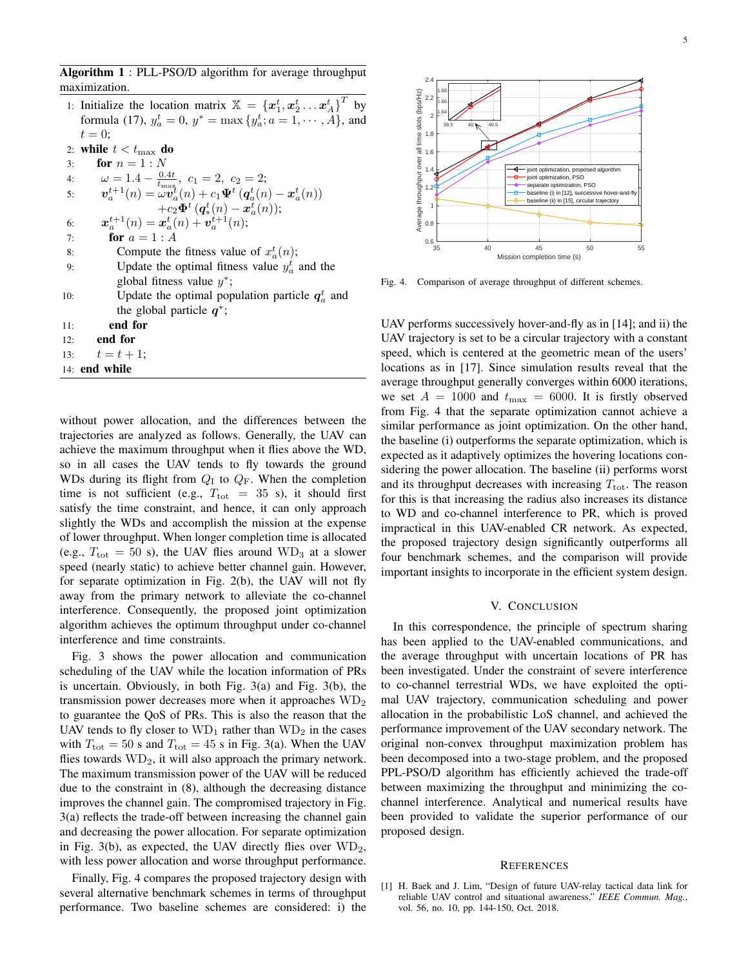Algorithm 1 : PLL-PSO/D algorithm for average throughput maximization.

- 1: Initialize the location matrix  $\mathbb{X} = \{x_1^t, x_2^t, \dots, x_A^t\}^T$  by formula (17),  $y_a^t = 0$ ,  $y^* = \max\{y_a^t; a = 1, \dots, \hat{A}\}$ , and  $t=0;$
- 2: while  $t < t_{\text{max}}$  do
- 3: **for**  $n = 1 : N$ 4:  $\omega = 1.4 - \frac{0.4t}{t_{\text{max}}}, c_1 = 2, c_2 = 2;$ 5:  $\boldsymbol{v}_a^{t+1}(n) = \omega \boldsymbol{v}_a^t(n) + c_1 \boldsymbol{\Psi}^t \left( \boldsymbol{q}_a^t(n) - \boldsymbol{x}_a^t(n) \right)$  $+c_2\Phi^t (q_*^t(n) - x_a^t(n));$
- 6:  $\boldsymbol{x}_a^{t+1}(n) = \boldsymbol{x}_a^{t}(n) + \boldsymbol{v}_a^{t+1}(n);$
- 7: **for**  $a = 1 : A$
- 8: Compute the fitness value of  $x_a^t(n)$ ;
- 9: Update the optimal fitness value  $y_a^t$  and the global fitness value  $y^*$ ;
- 10: Update the optimal population particle  $q_a^t$  and the global particle  $\overrightarrow{q}$ ;
- 11: end for
- 12: end for
- 13:  $t = t + 1$ ;
- 14: end while

without power allocation, and the differences between the trajectories are analyzed as follows. Generally, the UAV can achieve the maximum throughput when it flies above the WD, so in all cases the UAV tends to fly towards the ground WDs during its flight from  $Q_I$  to  $Q_F$ . When the completion time is not sufficient (e.g.,  $T_{\text{tot}}$  = 35 s), it should first satisfy the time constraint, and hence, it can only approach slightly the WDs and accomplish the mission at the expense of lower throughput. When longer completion time is allocated (e.g.,  $T_{\text{tot}} = 50$  s), the UAV flies around  $WD_3$  at a slower speed (nearly static) to achieve better channel gain. However, for separate optimization in Fig. 2(b), the UAV will not fly away from the primary network to alleviate the co-channel interference. Consequently, the proposed joint optimization algorithm achieves the optimum throughput under co-channel interference and time constraints.

Fig. 3 shows the power allocation and communication scheduling of the UAV while the location information of PRs is uncertain. Obviously, in both Fig. 3(a) and Fig. 3(b), the transmission power decreases more when it approaches  $WD<sub>2</sub>$ to guarantee the QoS of PRs. This is also the reason that the UAV tends to fly closer to  $WD_1$  rather than  $WD_2$  in the cases with  $T_{\text{tot}} = 50$  s and  $T_{\text{tot}} = 45$  s in Fig. 3(a). When the UAV flies towards  $WD_2$ , it will also approach the primary network. The maximum transmission power of the UAV will be reduced due to the constraint in (8), although the decreasing distance improves the channel gain. The compromised trajectory in Fig. 3(a) reflects the trade-off between increasing the channel gain and decreasing the power allocation. For separate optimization in Fig. 3(b), as expected, the UAV directly flies over  $WD_2$ , with less power allocation and worse throughput performance.

Finally, Fig. 4 compares the proposed trajectory design with several alternative benchmark schemes in terms of throughput performance. Two baseline schemes are considered: i) the



Fig. 4. Comparison of average throughput of different schemes.

UAV performs successively hover-and-fly as in [14]; and ii) the UAV trajectory is set to be a circular trajectory with a constant speed, which is centered at the geometric mean of the users' locations as in [17]. Since simulation results reveal that the average throughput generally converges within 6000 iterations, we set  $A = 1000$  and  $t_{\text{max}} = 6000$ . It is firstly observed from Fig. 4 that the separate optimization cannot achieve a similar performance as joint optimization. On the other hand, the baseline (i) outperforms the separate optimization, which is expected as it adaptively optimizes the hovering locations considering the power allocation. The baseline (ii) performs worst and its throughput decreases with increasing  $T_{\text{tot}}$ . The reason for this is that increasing the radius also increases its distance to WD and co-channel interference to PR, which is proved impractical in this UAV-enabled CR network. As expected, the proposed trajectory design significantly outperforms all four benchmark schemes, and the comparison will provide important insights to incorporate in the efficient system design.

### V. CONCLUSION

In this correspondence, the principle of spectrum sharing has been applied to the UAV-enabled communications, and the average throughput with uncertain locations of PR has been investigated. Under the constraint of severe interference to co-channel terrestrial WDs, we have exploited the optimal UAV trajectory, communication scheduling and power allocation in the probabilistic LoS channel, and achieved the performance improvement of the UAV secondary network. The original non-convex throughput maximization problem has been decomposed into a two-stage problem, and the proposed PPL-PSO/D algorithm has efficiently achieved the trade-off between maximizing the throughput and minimizing the cochannel interference. Analytical and numerical results have been provided to validate the superior performance of our proposed design.

#### **REFERENCES**

[1] H. Baek and J. Lim, "Design of future UAV-relay tactical data link for reliable UAV control and situational awareness," *IEEE Commun. Mag.*, vol. 56, no. 10, pp. 144-150, Oct. 2018.